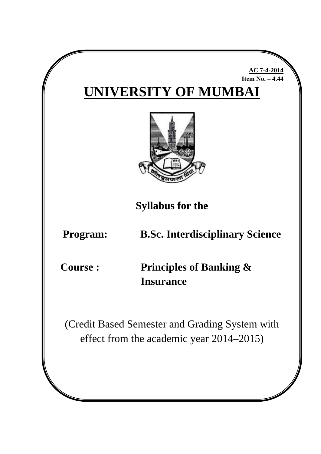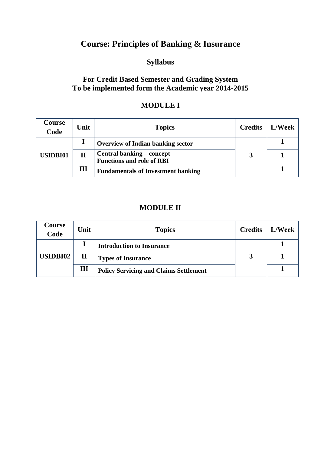# **Course: Principles of Banking & Insurance**

#### **Syllabus**

## **For Credit Based Semester and Grading System To be implemented form the Academic year 2014-2015**

#### **MODULE I**

| Course<br>Code  | Unit         | <b>Topics</b>                                                 | <b>Credits</b> | L/Week |
|-----------------|--------------|---------------------------------------------------------------|----------------|--------|
| <b>USIDBI01</b> |              | <b>Overview of Indian banking sector</b>                      |                |        |
|                 | $\mathbf{I}$ | Central banking – concept<br><b>Functions and role of RBI</b> |                |        |
|                 | Ш            | <b>Fundamentals of Investment banking</b>                     |                |        |

## **MODULE II**

| Course<br>Code  | Unit        | <b>Topics</b>                                 | <b>Credits</b> | L/Week |
|-----------------|-------------|-----------------------------------------------|----------------|--------|
| <b>USIDBI02</b> |             | <b>Introduction to Insurance</b>              |                |        |
|                 | $\mathbf H$ | <b>Types of Insurance</b>                     |                |        |
|                 | Ш           | <b>Policy Servicing and Claims Settlement</b> |                |        |